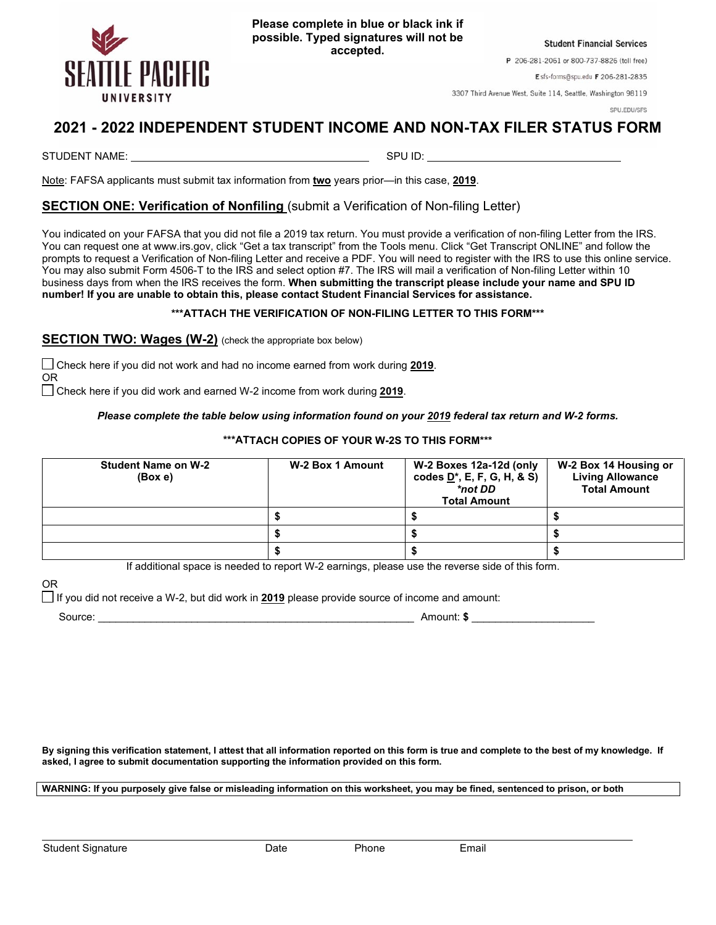

**Student Financial Services** 

P 206-281-2061 or 800-737-8826 (toll free)

Esfs-forms@spu.edu F 206-281-2835

3307 Third Avenue West, Suite 114, Seattle, Washington 98119

SPU.EDU/SFS

## **2021 - 2022 INDEPENDENT STUDENT INCOME AND NON-TAX FILER STATUS FORM**

STUDENT NAME: SPU ID:

Note: FAFSA applicants must submit tax information from **two** years prior—in this case, **2019**.

## **SECTION ONE: Verification of Nonfiling** (submit a Verification of Non-filing Letter)

You indicated on your FAFSA that you did not file a 2019 tax return. You must provide a verification of non-filing Letter from the IRS. You can request one at www.irs.gov, click "Get a tax transcript" from the Tools menu. Click "Get Transcript ONLINE" and follow the prompts to request a Verification of Non-filing Letter and receive a PDF. You will need to register with the IRS to use this online service. You may also submit Form 4506-T to the IRS and select option #7. The IRS will mail a verification of Non-filing Letter within 10 business days from when the IRS receives the form. **When submitting the transcript please include your name and SPU ID number! If you are unable to obtain this, please contact Student Financial Services for assistance.**

## **\*\*\*ATTACH THE VERIFICATION OF NON-FILING LETTER TO THIS FORM\*\*\***

**SECTION TWO: Wages (W-2)** (check the appropriate box below)

 Check here if you did not work and had no income earned from work during **2019**. OR

Check here if you did work and earned W-2 income from work during **2019**.

*Please complete the table below using information found on your 2019 federal tax return and W-2 forms.*

**\*\*\*ATTACH COPIES OF YOUR W-2S TO THIS FORM\*\*\***

| <b>Student Name on W-2</b><br>(Box e) | W-2 Box 1 Amount | W-2 Boxes 12a-12d (only<br>codes $D^*$ , E, F, G, H, & S)<br>*not DD<br><b>Total Amount</b> | W-2 Box 14 Housing or<br><b>Living Allowance</b><br><b>Total Amount</b> |
|---------------------------------------|------------------|---------------------------------------------------------------------------------------------|-------------------------------------------------------------------------|
|                                       |                  |                                                                                             |                                                                         |
|                                       |                  |                                                                                             |                                                                         |
|                                       |                  |                                                                                             |                                                                         |

If additional space is needed to report W-2 earnings, please use the reverse side of this form.

OR

If you did not receive a W-2, but did work in **2019** please provide source of income and amount:

Source: \_\_\_\_\_\_\_\_\_\_\_\_\_\_\_\_\_\_\_\_\_\_\_\_\_\_\_\_\_\_\_\_\_\_\_\_\_\_\_\_\_\_\_\_\_\_\_\_\_\_\_\_\_\_ Amount: **\$** \_\_\_\_\_\_\_\_\_\_\_\_\_\_\_\_\_\_\_\_\_

**By signing this verification statement, I attest that all information reported on this form is true and complete to the best of my knowledge. If asked, I agree to submit documentation supporting the information provided on this form.**

**WARNING: If you purposely give false or misleading information on this worksheet, you may be fined, sentenced to prison, or both**